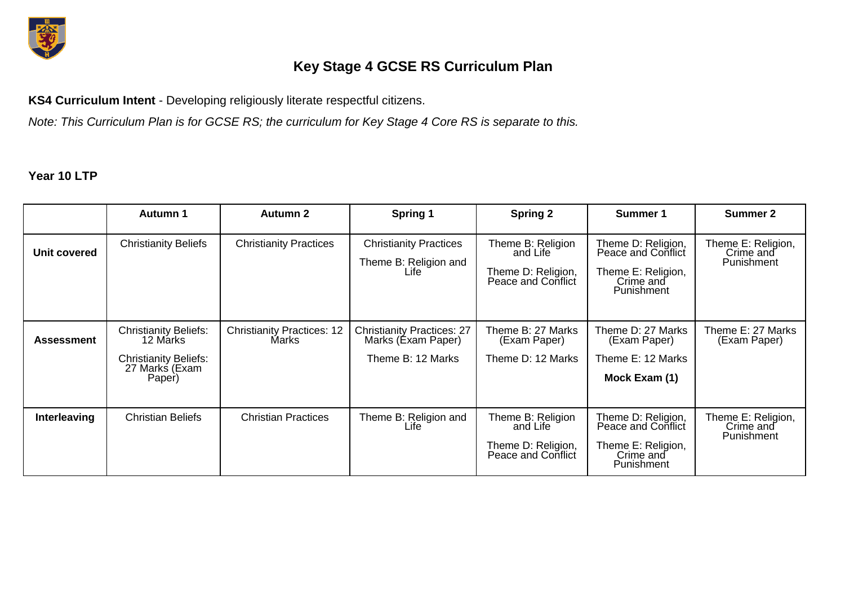

## **Key Stage 4 GCSE RS Curriculum Plan**

**KS4 Curriculum Intent** - Developing religiously literate respectful citizens.

*Note: This Curriculum Plan is for GCSE RS; the curriculum for Key Stage 4 Core RS is separate to this.*

## **Year 10 LTP**

|                   | <b>Autumn 1</b>                                                                                      | Autumn 2                                   | Spring 1                                                                     | <b>Spring 2</b>                                                           | Summer 1                                                                                         | Summer 2                                      |
|-------------------|------------------------------------------------------------------------------------------------------|--------------------------------------------|------------------------------------------------------------------------------|---------------------------------------------------------------------------|--------------------------------------------------------------------------------------------------|-----------------------------------------------|
| Unit covered      | <b>Christianity Beliefs</b>                                                                          | <b>Christianity Practices</b>              | <b>Christianity Practices</b><br>Theme B: Religion and<br>Life               | Theme B: Religion<br>and Life<br>Theme D: Religion,<br>Peace and Conflict | Theme D: Religion,<br>Peace and Conflict<br>Theme E: Religion,<br>Crime and<br><b>Punishment</b> | Theme E: Religion,<br>Crime and<br>Punishment |
| <b>Assessment</b> | <b>Christianity Beliefs:</b><br>12 Marks<br><b>Christianity Beliefs:</b><br>27 Marks (Exam<br>Paper) | <b>Christianity Practices: 12</b><br>Marks | <b>Christianity Practices: 27</b><br>Marks (Éxam Paper)<br>Theme B: 12 Marks | Theme B: 27 Marks<br>(Exam Paper)<br>Theme D: 12 Marks                    | Theme D: 27 Marks<br>(Exam Paper)<br>Theme E: 12 Marks<br>Mock Exam (1)                          | Theme E: 27 Marks<br>(Exam Paper)             |
| Interleaving      | <b>Christian Beliefs</b>                                                                             | <b>Christian Practices</b>                 | Theme B: Religion and<br>Life                                                | Theme B: Religion<br>and Life<br>Theme D: Religion,<br>Peace and Conflict | Theme D: Religion,<br>Peace and Conflict<br>Theme E: Religion,<br>Crime and<br>Punishment        | Theme E: Religion,<br>Crime and<br>Punishment |